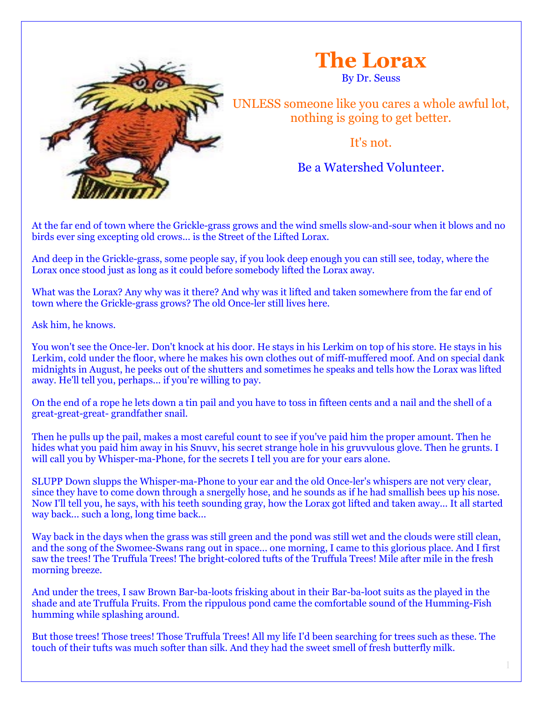

## **The Lorax**

By Dr. Seuss

UNLESS someone like you cares a whole awful lot, nothing is going to get better.

It's not.

Be a Watershed Volunteer.

At the far end of town where the Grickle-grass grows and the wind smells slow-and-sour when it blows and no birds ever sing excepting old crows... is the Street of the Lifted Lorax.

And deep in the Grickle-grass, some people say, if you look deep enough you can still see, today, where the Lorax once stood just as long as it could before somebody lifted the Lorax away.

What was the Lorax? Any why was it there? And why was it lifted and taken somewhere from the far end of town where the Grickle-grass grows? The old Once-ler still lives here.

Ask him, he knows.

You won't see the Once-ler. Don't knock at his door. He stays in his Lerkim on top of his store. He stays in his Lerkim, cold under the floor, where he makes his own clothes out of miff-muffered moof. And on special dank midnights in August, he peeks out of the shutters and sometimes he speaks and tells how the Lorax was lifted away. He'll tell you, perhaps... if you're willing to pay.

On the end of a rope he lets down a tin pail and you have to toss in fifteen cents and a nail and the shell of a great-great-great- grandfather snail.

Then he pulls up the pail, makes a most careful count to see if you've paid him the proper amount. Then he hides what you paid him away in his Snuvv, his secret strange hole in his gruvvulous glove. Then he grunts. I will call you by Whisper-ma-Phone, for the secrets I tell you are for your ears alone.

SLUPP Down slupps the Whisper-ma-Phone to your ear and the old Once-ler's whispers are not very clear, since they have to come down through a snergelly hose, and he sounds as if he had smallish bees up his nose. Now I'll tell you, he says, with his teeth sounding gray, how the Lorax got lifted and taken away... It all started way back... such a long, long time back...

Way back in the days when the grass was still green and the pond was still wet and the clouds were still clean, and the song of the Swomee-Swans rang out in space... one morning, I came to this glorious place. And I first saw the trees! The Truffula Trees! The bright-colored tufts of the Truffula Trees! Mile after mile in the fresh morning breeze.

And under the trees, I saw Brown Bar-ba-loots frisking about in their Bar-ba-loot suits as the played in the shade and ate Truffula Fruits. From the rippulous pond came the comfortable sound of the Humming-Fish humming while splashing around.

But those trees! Those trees! Those Truffula Trees! All my life I'd been searching for trees such as these. The touch of their tufts was much softer than silk. And they had the sweet smell of fresh butterfly milk.

<sup>1</sup>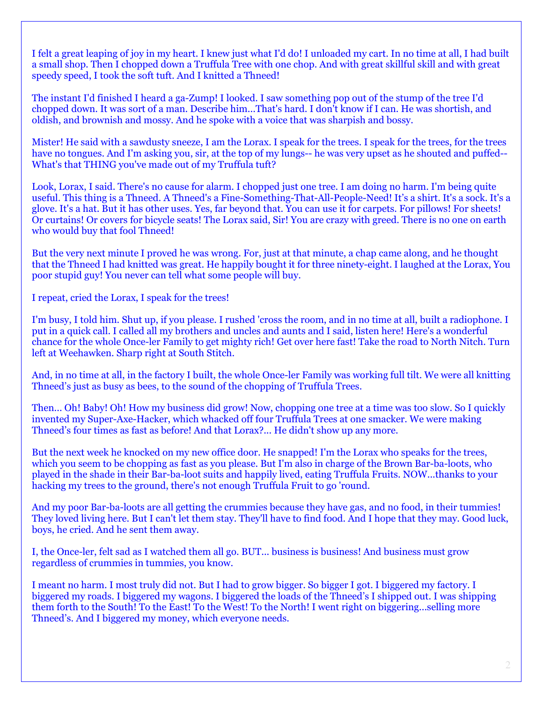I felt a great leaping of joy in my heart. I knew just what I'd do! I unloaded my cart. In no time at all, I had built a small shop. Then I chopped down a Truffula Tree with one chop. And with great skillful skill and with great speedy speed, I took the soft tuft. And I knitted a Thneed!

The instant I'd finished I heard a ga-Zump! I looked. I saw something pop out of the stump of the tree I'd chopped down. It was sort of a man. Describe him...That's hard. I don't know if I can. He was shortish, and oldish, and brownish and mossy. And he spoke with a voice that was sharpish and bossy.

Mister! He said with a sawdusty sneeze, I am the Lorax. I speak for the trees. I speak for the trees, for the trees have no tongues. And I'm asking you, sir, at the top of my lungs-- he was very upset as he shouted and puffed-- What's that THING you've made out of my Truffula tuft?

Look, Lorax, I said. There's no cause for alarm. I chopped just one tree. I am doing no harm. I'm being quite useful. This thing is a Thneed. A Thneed's a Fine-Something-That-All-People-Need! It's a shirt. It's a sock. It's a glove. It's a hat. But it has other uses. Yes, far beyond that. You can use it for carpets. For pillows! For sheets! Or curtains! Or covers for bicycle seats! The Lorax said, Sir! You are crazy with greed. There is no one on earth who would buy that fool Thneed!

But the very next minute I proved he was wrong. For, just at that minute, a chap came along, and he thought that the Thneed I had knitted was great. He happily bought it for three ninety-eight. I laughed at the Lorax, You poor stupid guy! You never can tell what some people will buy.

I repeat, cried the Lorax, I speak for the trees!

I'm busy, I told him. Shut up, if you please. I rushed 'cross the room, and in no time at all, built a radiophone. I put in a quick call. I called all my brothers and uncles and aunts and I said, listen here! Here's a wonderful chance for the whole Once-ler Family to get mighty rich! Get over here fast! Take the road to North Nitch. Turn left at Weehawken. Sharp right at South Stitch.

And, in no time at all, in the factory I built, the whole Once-ler Family was working full tilt. We were all knitting Thneed's just as busy as bees, to the sound of the chopping of Truffula Trees.

Then... Oh! Baby! Oh! How my business did grow! Now, chopping one tree at a time was too slow. So I quickly invented my Super-Axe-Hacker, which whacked off four Truffula Trees at one smacker. We were making Thneed's four times as fast as before! And that Lorax?... He didn't show up any more.

But the next week he knocked on my new office door. He snapped! I'm the Lorax who speaks for the trees, which you seem to be chopping as fast as you please. But I'm also in charge of the Brown Bar-ba-loots, who played in the shade in their Bar-ba-loot suits and happily lived, eating Truffula Fruits. NOW...thanks to your hacking my trees to the ground, there's not enough Truffula Fruit to go 'round.

And my poor Bar-ba-loots are all getting the crummies because they have gas, and no food, in their tummies! They loved living here. But I can't let them stay. They'll have to find food. And I hope that they may. Good luck, boys, he cried. And he sent them away.

I, the Once-ler, felt sad as I watched them all go. BUT... business is business! And business must grow regardless of crummies in tummies, you know.

I meant no harm. I most truly did not. But I had to grow bigger. So bigger I got. I biggered my factory. I biggered my roads. I biggered my wagons. I biggered the loads of the Thneed's I shipped out. I was shipping them forth to the South! To the East! To the West! To the North! I went right on biggering...selling more Thneed's. And I biggered my money, which everyone needs.